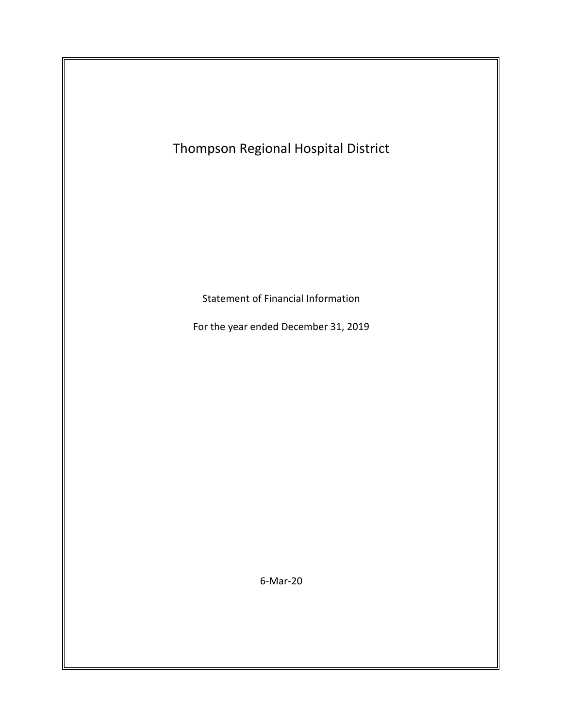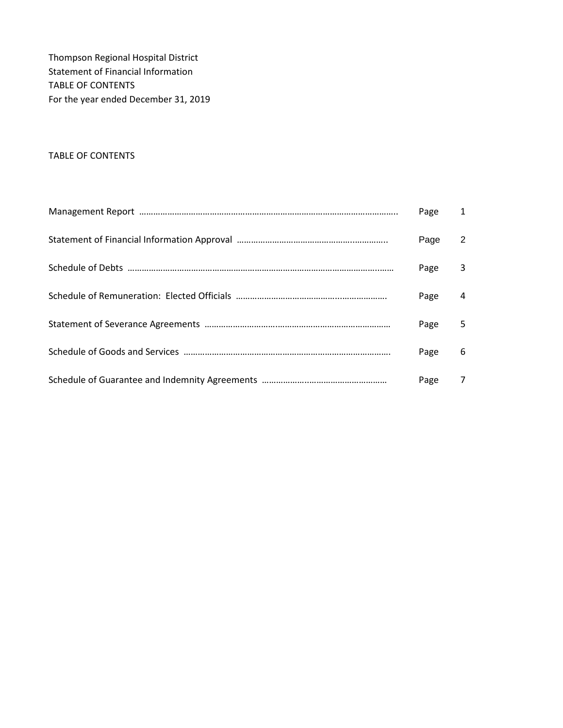Thompson Regional Hospital District Statement of Financial Information TABLE OF CONTENTS For the year ended December 31, 2019

#### TABLE OF CONTENTS

| Page | 1 |
|------|---|
| Page | 2 |
| Page | 3 |
| Page | 4 |
| Page | 5 |
| Page | 6 |
| Page | 7 |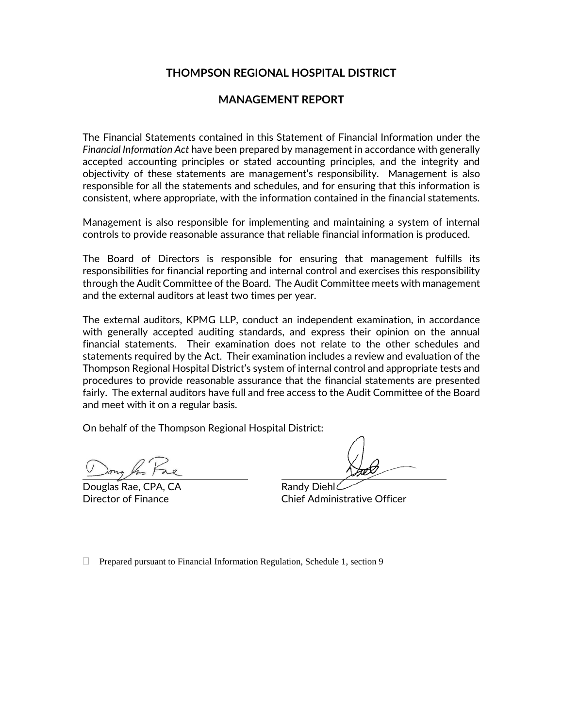### **THOMPSON REGIONAL HOSPITAL DISTRICT**

### **MANAGEMENT REPORT**

The Financial Statements contained in this Statement of Financial Information under the *Financial Information Act* have been prepared by management in accordance with generally accepted accounting principles or stated accounting principles, and the integrity and objectivity of these statements are management's responsibility. Management is also responsible for all the statements and schedules, and for ensuring that this information is consistent, where appropriate, with the information contained in the financial statements.

Management is also responsible for implementing and maintaining a system of internal controls to provide reasonable assurance that reliable financial information is produced.

The Board of Directors is responsible for ensuring that management fulfills its responsibilities for financial reporting and internal control and exercises this responsibility through the Audit Committee of the Board. The Audit Committee meets with management and the external auditors at least two times per year.

The external auditors, KPMG LLP, conduct an independent examination, in accordance with generally accepted auditing standards, and express their opinion on the annual financial statements. Their examination does not relate to the other schedules and statements required by the Act. Their examination includes a review and evaluation of the Thompson Regional Hospital District's system of internal control and appropriate tests and procedures to provide reasonable assurance that the financial statements are presented fairly. The external auditors have full and free access to the Audit Committee of the Board and meet with it on a regular basis.

On behalf of the Thompson Regional Hospital District:

Douglas Rae, CPA, CA Randy Diehl

Director of Finance Chief Administrative Officer

□ Prepared pursuant to Financial Information Regulation, Schedule 1, section 9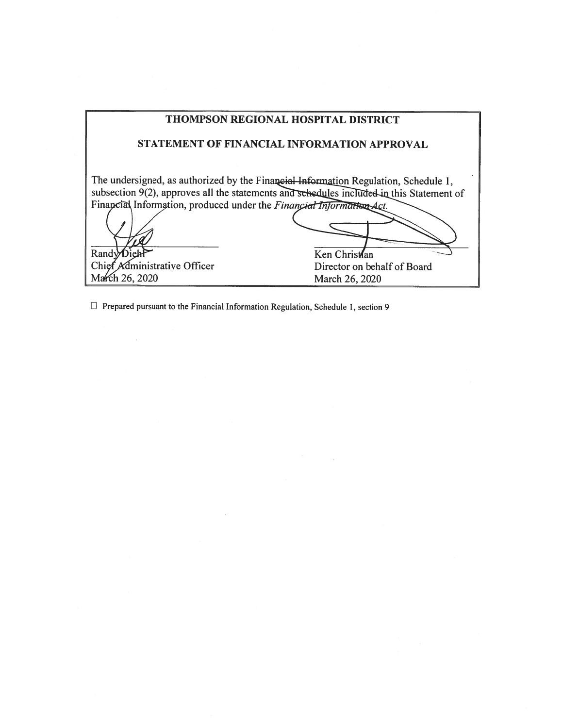| <b>THOMPSON REGIONAL HOSPITAL DISTRICT</b>                                                                                                                               |                                                                                                           |  |  |  |
|--------------------------------------------------------------------------------------------------------------------------------------------------------------------------|-----------------------------------------------------------------------------------------------------------|--|--|--|
| STATEMENT OF FINANCIAL INFORMATION APPROVAL                                                                                                                              |                                                                                                           |  |  |  |
| The undersigned, as authorized by the Financial Information Regulation, Schedule 1,<br>Financial Information, produced under the Financial Information-Act.<br>RandyDiel | subsection 9(2), approves all the statements and schedules included in this Statement of<br>Ken Christlan |  |  |  |
| Chief Administrative Officer                                                                                                                                             | Director on behalf of Board                                                                               |  |  |  |
| March 26, 2020                                                                                                                                                           | March 26, 2020                                                                                            |  |  |  |

 $\label{eq:3.1} \left\langle \mathbf{0}\right\rangle =\left\langle \mathbf{0}\right\rangle$ 

 $\Box$  Prepared pursuant to the Financial Information Regulation, Schedule 1, section 9

 $\bar z$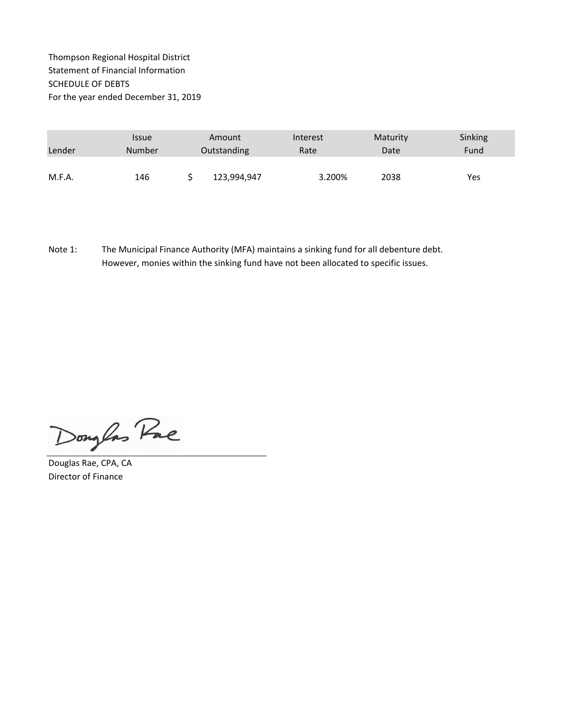### Thompson Regional Hospital District Statement of Financial Information SCHEDULE OF DEBTS For the year ended December 31, 2019

|        | <b>Issue</b>  | Amount      | Interest | Maturity | Sinking |
|--------|---------------|-------------|----------|----------|---------|
| Lender | <b>Number</b> | Outstanding | Rate     | Date     | Fund    |
|        |               |             |          |          |         |
| M.F.A. | 146           | 123,994,947 | 3.200%   | 2038     | Yes     |

Note 1: The Municipal Finance Authority (MFA) maintains a sinking fund for all debenture debt. However, monies within the sinking fund have not been allocated to specific issues.

Douglas Pac

Douglas Rae, CPA, CA Director of Finance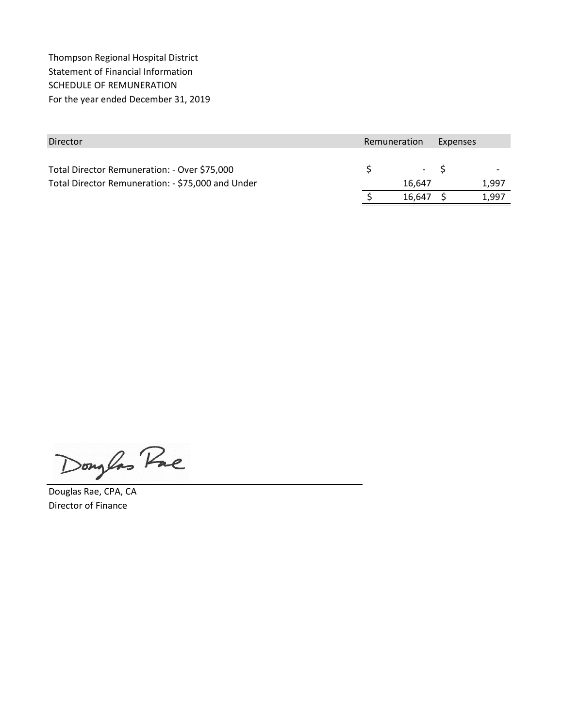Thompson Regional Hospital District Statement of Financial Information SCHEDULE OF REMUNERATION For the year ended December 31, 2019

| Director                                          | Remuneration |        | Expenses |       |
|---------------------------------------------------|--------------|--------|----------|-------|
|                                                   |              |        |          |       |
| Total Director Remuneration: - Over \$75,000      |              | $-5$   |          |       |
| Total Director Remuneration: - \$75,000 and Under | 16.647       |        | 1.997    |       |
|                                                   |              | 16,647 |          | 1,997 |

Douglas Pac

Douglas Rae, CPA, CA Director of Finance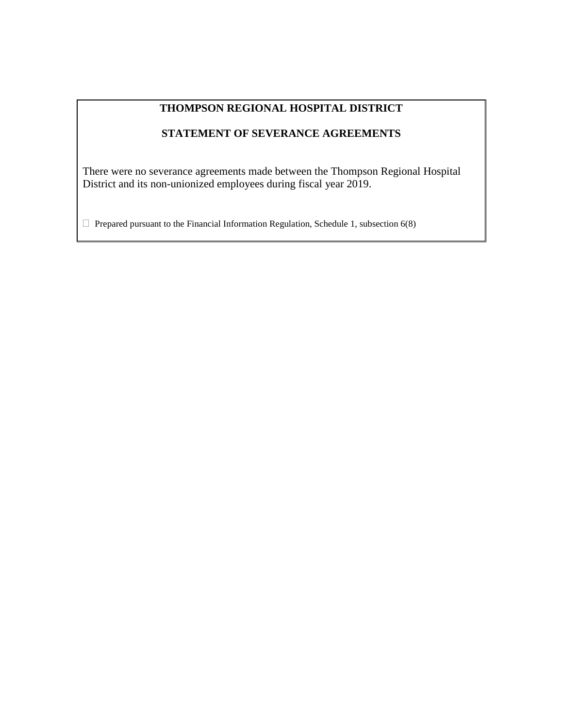# **THOMPSON REGIONAL HOSPITAL DISTRICT**

# **STATEMENT OF SEVERANCE AGREEMENTS**

There were no severance agreements made between the Thompson Regional Hospital District and its non-unionized employees during fiscal year 2019.

 $\Box$  Prepared pursuant to the Financial Information Regulation, Schedule 1, subsection 6(8)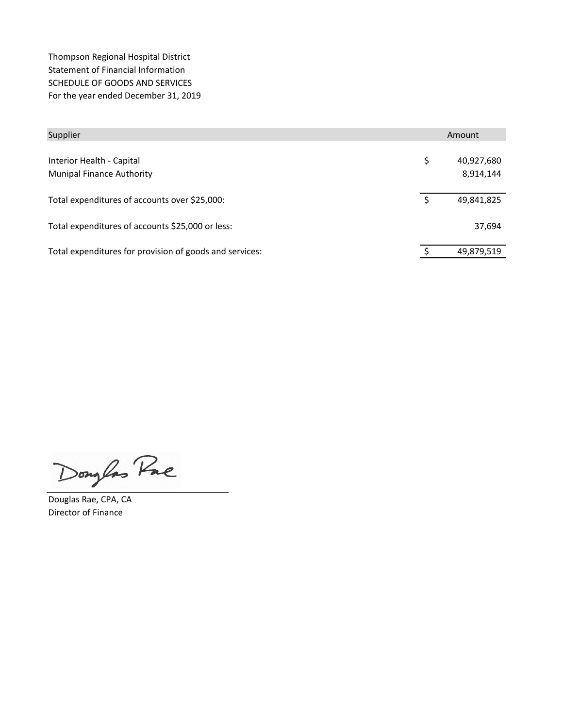Thompson Regional Hospital District Statement of Financial Information SCHEDULE OF GOODS AND SERVICES For the year ended December 31, 2019

| Supplier                                                      | Amount |                         |
|---------------------------------------------------------------|--------|-------------------------|
| Interior Health - Capital<br><b>Munipal Finance Authority</b> | \$     | 40,927,680<br>8,914,144 |
| Total expenditures of accounts over \$25,000:                 | S      | 49,841,825              |
| Total expenditures of accounts \$25,000 or less:              |        | 37,694                  |
| Total expenditures for provision of goods and services:       |        | 49,879,519              |

Douglas Pac

Douglas Rae, CPA, CA Director of Finance